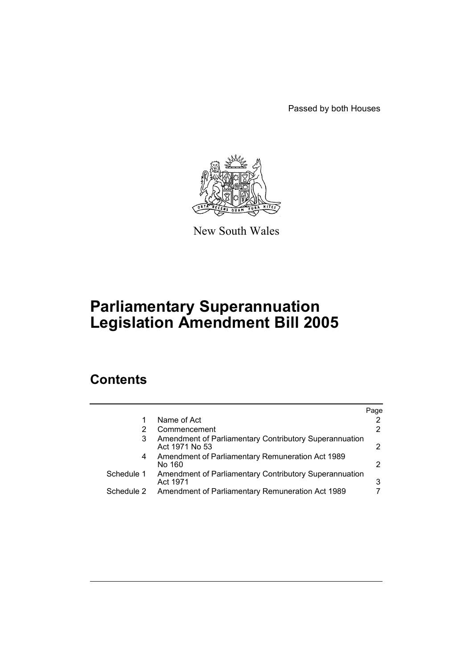Passed by both Houses



New South Wales

# **Parliamentary Superannuation Legislation Amendment Bill 2005**

# **Contents**

|            |                                                                          | Page |
|------------|--------------------------------------------------------------------------|------|
|            | Name of Act                                                              | 2    |
|            | Commencement                                                             | 2    |
| 3          | Amendment of Parliamentary Contributory Superannuation<br>Act 1971 No 53 | 2    |
| 4          | Amendment of Parliamentary Remuneration Act 1989<br>No 160               | 2    |
| Schedule 1 | Amendment of Parliamentary Contributory Superannuation<br>Act 1971       | 3    |
| Schedule 2 | Amendment of Parliamentary Remuneration Act 1989                         |      |
|            |                                                                          |      |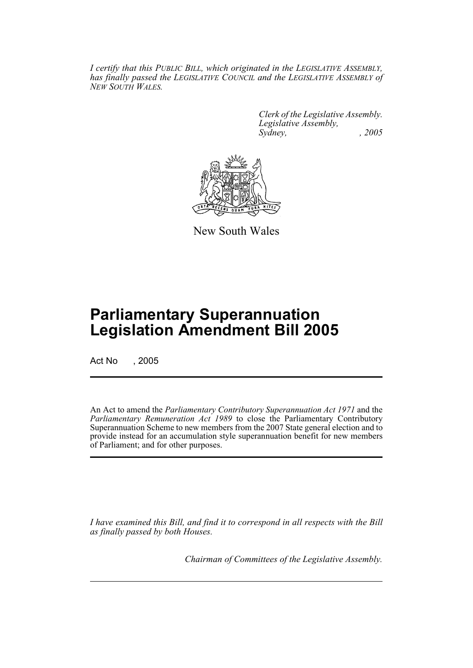*I certify that this PUBLIC BILL, which originated in the LEGISLATIVE ASSEMBLY, has finally passed the LEGISLATIVE COUNCIL and the LEGISLATIVE ASSEMBLY of NEW SOUTH WALES.*

> *Clerk of the Legislative Assembly. Legislative Assembly, Sydney, , 2005*



New South Wales

# **Parliamentary Superannuation Legislation Amendment Bill 2005**

Act No , 2005

An Act to amend the *Parliamentary Contributory Superannuation Act 1971* and the *Parliamentary Remuneration Act 1989* to close the Parliamentary Contributory Superannuation Scheme to new members from the 2007 State general election and to provide instead for an accumulation style superannuation benefit for new members of Parliament; and for other purposes.

*I have examined this Bill, and find it to correspond in all respects with the Bill as finally passed by both Houses.*

*Chairman of Committees of the Legislative Assembly.*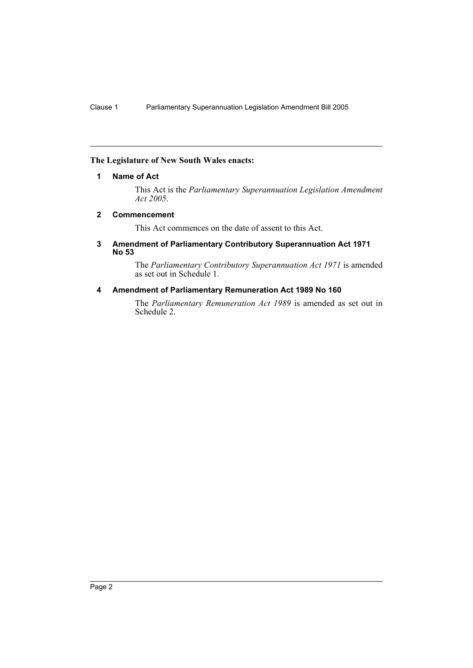# **The Legislature of New South Wales enacts:**

### **1 Name of Act**

This Act is the *Parliamentary Superannuation Legislation Amendment Act 2005*.

#### **2 Commencement**

This Act commences on the date of assent to this Act.

#### **3 Amendment of Parliamentary Contributory Superannuation Act 1971 No 53**

The *Parliamentary Contributory Superannuation Act 1971* is amended as set out in Schedule 1.

# **4 Amendment of Parliamentary Remuneration Act 1989 No 160**

The *Parliamentary Remuneration Act 1989* is amended as set out in Schedule 2.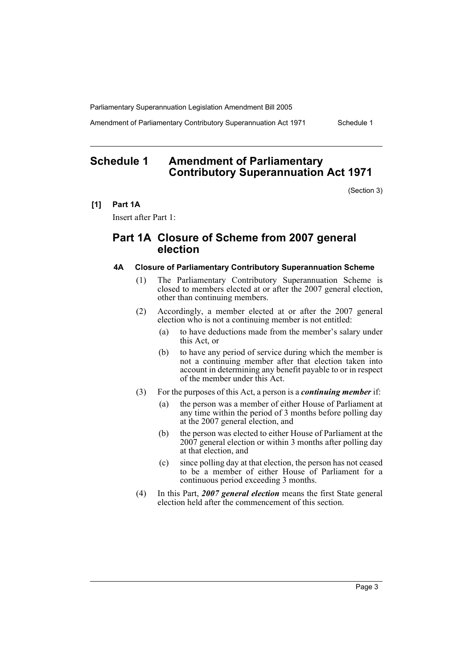Amendment of Parliamentary Contributory Superannuation Act 1971 Schedule 1

# **Schedule 1 Amendment of Parliamentary Contributory Superannuation Act 1971**

(Section 3)

**[1] Part 1A**

Insert after Part 1:

# **Part 1A Closure of Scheme from 2007 general election**

#### **4A Closure of Parliamentary Contributory Superannuation Scheme**

- (1) The Parliamentary Contributory Superannuation Scheme is closed to members elected at or after the 2007 general election, other than continuing members.
- (2) Accordingly, a member elected at or after the 2007 general election who is not a continuing member is not entitled:
	- (a) to have deductions made from the member's salary under this Act, or
	- (b) to have any period of service during which the member is not a continuing member after that election taken into account in determining any benefit payable to or in respect of the member under this Act.
- (3) For the purposes of this Act, a person is a *continuing member* if:
	- (a) the person was a member of either House of Parliament at any time within the period of 3 months before polling day at the 2007 general election, and
	- (b) the person was elected to either House of Parliament at the 2007 general election or within 3 months after polling day at that election, and
	- (c) since polling day at that election, the person has not ceased to be a member of either House of Parliament for a continuous period exceeding 3 months.
- (4) In this Part, *2007 general election* means the first State general election held after the commencement of this section.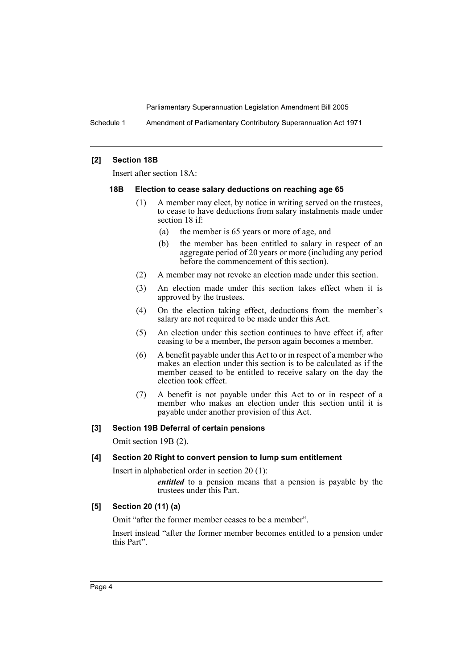Schedule 1 Amendment of Parliamentary Contributory Superannuation Act 1971

#### **[2] Section 18B**

Insert after section 18A:

#### **18B Election to cease salary deductions on reaching age 65**

- (1) A member may elect, by notice in writing served on the trustees, to cease to have deductions from salary instalments made under section 18 if:
	- (a) the member is 65 years or more of age, and
	- (b) the member has been entitled to salary in respect of an aggregate period of 20 years or more (including any period before the commencement of this section).
- (2) A member may not revoke an election made under this section.
- (3) An election made under this section takes effect when it is approved by the trustees.
- (4) On the election taking effect, deductions from the member's salary are not required to be made under this Act.
- (5) An election under this section continues to have effect if, after ceasing to be a member, the person again becomes a member.
- (6) A benefit payable under this Act to or in respect of a member who makes an election under this section is to be calculated as if the member ceased to be entitled to receive salary on the day the election took effect.
- (7) A benefit is not payable under this Act to or in respect of a member who makes an election under this section until it is payable under another provision of this Act.

# **[3] Section 19B Deferral of certain pensions**

Omit section 19B (2).

# **[4] Section 20 Right to convert pension to lump sum entitlement**

Insert in alphabetical order in section 20 (1):

*entitled* to a pension means that a pension is payable by the trustees under this Part.

# **[5] Section 20 (11) (a)**

Omit "after the former member ceases to be a member".

Insert instead "after the former member becomes entitled to a pension under this Part".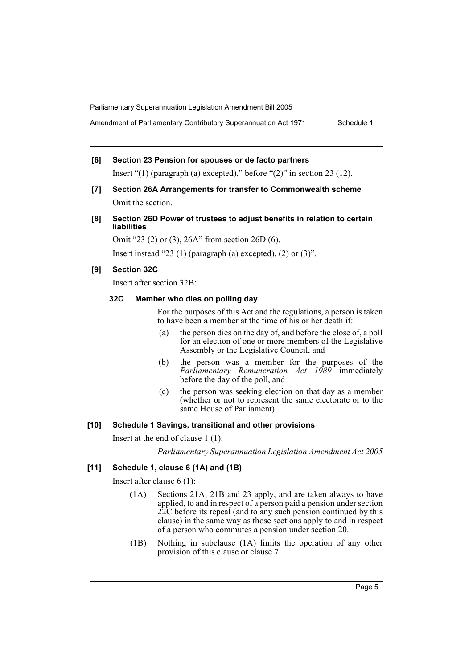Amendment of Parliamentary Contributory Superannuation Act 1971 Schedule 1

- **[6] Section 23 Pension for spouses or de facto partners** Insert "(1) (paragraph (a) excepted)," before " $(2)$ " in section 23 (12).
- **[7] Section 26A Arrangements for transfer to Commonwealth scheme** Omit the section.
- **[8] Section 26D Power of trustees to adjust benefits in relation to certain liabilities**

Omit "23 (2) or (3), 26A" from section 26D (6).

Insert instead "23 (1) (paragraph (a) excepted), (2) or  $(3)$ ".

#### **[9] Section 32C**

Insert after section 32B:

# **32C Member who dies on polling day**

For the purposes of this Act and the regulations, a person is taken to have been a member at the time of his or her death if:

- (a) the person dies on the day of, and before the close of, a poll for an election of one or more members of the Legislative Assembly or the Legislative Council, and
- (b) the person was a member for the purposes of the *Parliamentary Remuneration Act 1989* immediately before the day of the poll, and
- (c) the person was seeking election on that day as a member (whether or not to represent the same electorate or to the same House of Parliament).

#### **[10] Schedule 1 Savings, transitional and other provisions**

Insert at the end of clause 1 (1):

*Parliamentary Superannuation Legislation Amendment Act 2005*

### **[11] Schedule 1, clause 6 (1A) and (1B)**

Insert after clause 6 (1):

- (1A) Sections 21A, 21B and 23 apply, and are taken always to have applied, to and in respect of a person paid a pension under section 22C before its repeal (and to any such pension continued by this clause) in the same way as those sections apply to and in respect of a person who commutes a pension under section 20.
- (1B) Nothing in subclause (1A) limits the operation of any other provision of this clause or clause 7.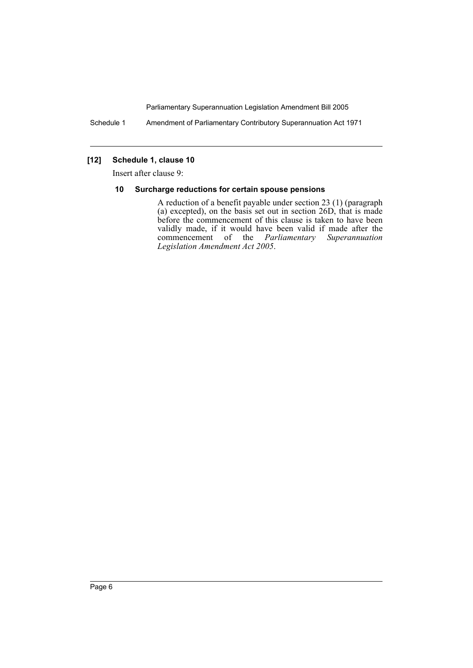Schedule 1 Amendment of Parliamentary Contributory Superannuation Act 1971

# **[12] Schedule 1, clause 10**

Insert after clause 9:

#### **10 Surcharge reductions for certain spouse pensions**

A reduction of a benefit payable under section 23 (1) (paragraph (a) excepted), on the basis set out in section 26D, that is made before the commencement of this clause is taken to have been validly made, if it would have been valid if made after the commencement of the *Parliamentary Superannuation Legislation Amendment Act 2005*.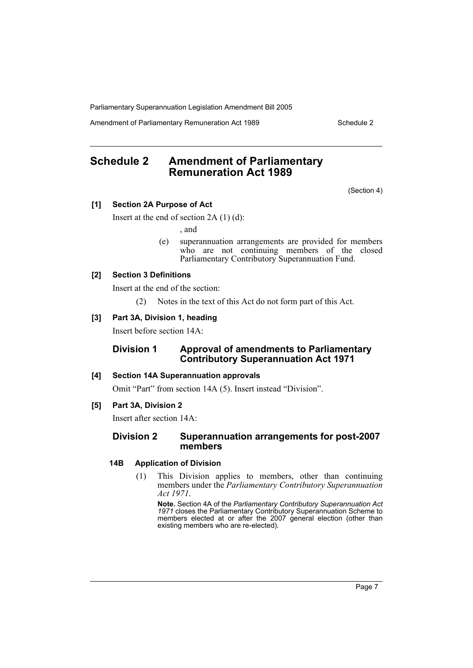Amendment of Parliamentary Remuneration Act 1989 Schedule 2

# **Schedule 2 Amendment of Parliamentary Remuneration Act 1989**

(Section 4)

#### **[1] Section 2A Purpose of Act**

Insert at the end of section  $2A(1)(d)$ :

, and

(e) superannuation arrangements are provided for members who are not continuing members of the closed Parliamentary Contributory Superannuation Fund.

# **[2] Section 3 Definitions**

Insert at the end of the section:

(2) Notes in the text of this Act do not form part of this Act.

#### **[3] Part 3A, Division 1, heading**

Insert before section 14A:

### **Division 1 Approval of amendments to Parliamentary Contributory Superannuation Act 1971**

#### **[4] Section 14A Superannuation approvals**

Omit "Part" from section 14A (5). Insert instead "Division".

#### **[5] Part 3A, Division 2**

Insert after section 14A:

#### **Division 2 Superannuation arrangements for post-2007 members**

#### **14B Application of Division**

(1) This Division applies to members, other than continuing members under the *Parliamentary Contributory Superannuation Act 1971*.

**Note.** Section 4A of the *Parliamentary Contributory Superannuation Act 1971* closes the Parliamentary Contributory Superannuation Scheme to members elected at or after the 2007 general election (other than existing members who are re-elected).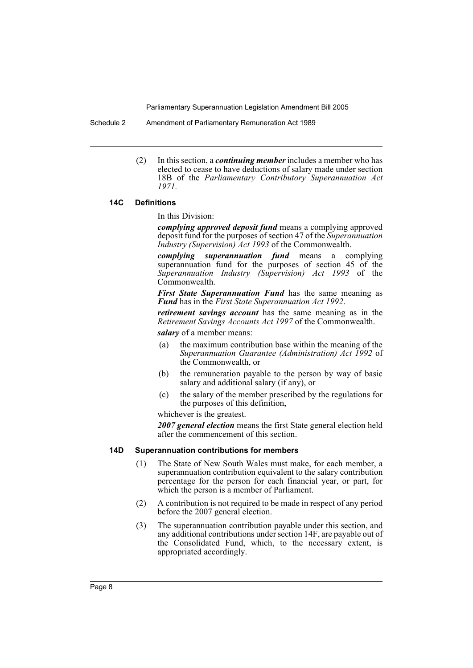Schedule 2 Amendment of Parliamentary Remuneration Act 1989

(2) In this section, a *continuing member* includes a member who has elected to cease to have deductions of salary made under section 18B of the *Parliamentary Contributory Superannuation Act 1971*.

#### **14C Definitions**

In this Division:

*complying approved deposit fund* means a complying approved deposit fund for the purposes of section 47 of the *Superannuation Industry (Supervision) Act 1993* of the Commonwealth.

*complying superannuation fund* means a complying superannuation fund for the purposes of section 45 of the *Superannuation Industry (Supervision) Act 1993* of the Commonwealth.

*First State Superannuation Fund* has the same meaning as *Fund* has in the *First State Superannuation Act 1992*.

*retirement savings account* has the same meaning as in the *Retirement Savings Accounts Act 1997* of the Commonwealth.

*salary* of a member means:

- (a) the maximum contribution base within the meaning of the *Superannuation Guarantee (Administration) Act 1992* of the Commonwealth, or
- (b) the remuneration payable to the person by way of basic salary and additional salary (if any), or
- (c) the salary of the member prescribed by the regulations for the purposes of this definition,

whichever is the greatest.

*2007 general election* means the first State general election held after the commencement of this section.

#### **14D Superannuation contributions for members**

- (1) The State of New South Wales must make, for each member, a superannuation contribution equivalent to the salary contribution percentage for the person for each financial year, or part, for which the person is a member of Parliament.
- (2) A contribution is not required to be made in respect of any period before the 2007 general election.
- (3) The superannuation contribution payable under this section, and any additional contributions under section 14F, are payable out of the Consolidated Fund, which, to the necessary extent, is appropriated accordingly.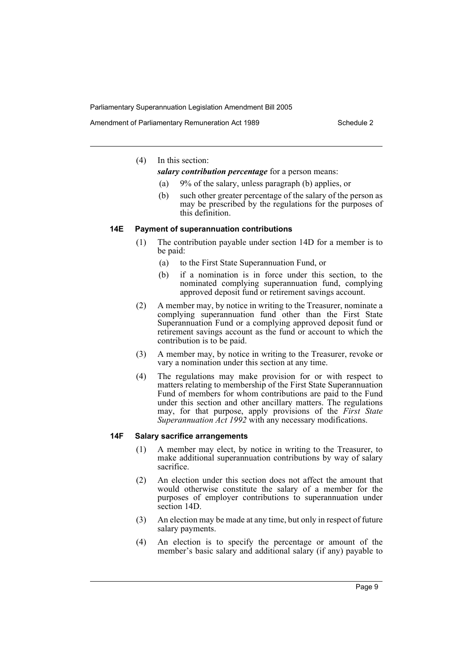Amendment of Parliamentary Remuneration Act 1989 Schedule 2

### (4) In this section:

*salary contribution percentage* for a person means:

- (a) 9% of the salary, unless paragraph (b) applies, or
- (b) such other greater percentage of the salary of the person as may be prescribed by the regulations for the purposes of this definition.

#### **14E Payment of superannuation contributions**

- (1) The contribution payable under section 14D for a member is to be paid:
	- (a) to the First State Superannuation Fund, or
	- (b) if a nomination is in force under this section, to the nominated complying superannuation fund, complying approved deposit fund or retirement savings account.
- (2) A member may, by notice in writing to the Treasurer, nominate a complying superannuation fund other than the First State Superannuation Fund or a complying approved deposit fund or retirement savings account as the fund or account to which the contribution is to be paid.
- (3) A member may, by notice in writing to the Treasurer, revoke or vary a nomination under this section at any time.
- (4) The regulations may make provision for or with respect to matters relating to membership of the First State Superannuation Fund of members for whom contributions are paid to the Fund under this section and other ancillary matters. The regulations may, for that purpose, apply provisions of the *First State Superannuation Act 1992* with any necessary modifications.

# **14F Salary sacrifice arrangements**

- (1) A member may elect, by notice in writing to the Treasurer, to make additional superannuation contributions by way of salary sacrifice.
- (2) An election under this section does not affect the amount that would otherwise constitute the salary of a member for the purposes of employer contributions to superannuation under section 14D.
- (3) An election may be made at any time, but only in respect of future salary payments.
- (4) An election is to specify the percentage or amount of the member's basic salary and additional salary (if any) payable to